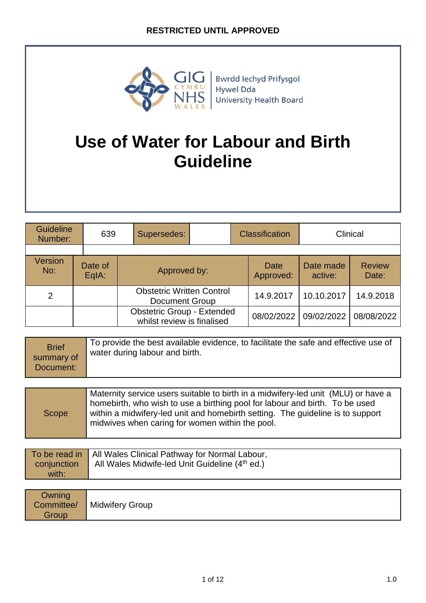

# **Use of Water for Labour and Birth Guideline**

| Guideline<br>Number: | 639              | Supersedes:                                                     |  | <b>Classification</b> | Clinical             |                        |
|----------------------|------------------|-----------------------------------------------------------------|--|-----------------------|----------------------|------------------------|
|                      |                  |                                                                 |  |                       |                      |                        |
| Version<br>No:       | Date of<br>EqIA: | Approved by:                                                    |  | Date<br>Approved:     | Date made<br>active: | <b>Review</b><br>Date: |
| 2                    |                  | <b>Obstetric Written Control</b><br><b>Document Group</b>       |  | 14.9.2017             | 10.10.2017           | 14.9.2018              |
|                      |                  | <b>Obstetric Group - Extended</b><br>whilst review is finalised |  | 08/02/2022            | 09/02/2022           | 08/08/2022             |

| <b>Brief</b><br>summary of<br>Document: | To provide the best available evidence, to facilitate the safe and effective use of<br>water during labour and birth. |
|-----------------------------------------|-----------------------------------------------------------------------------------------------------------------------|
|-----------------------------------------|-----------------------------------------------------------------------------------------------------------------------|

|             | To be read in   All Wales Clinical Pathway for Normal Labour, |
|-------------|---------------------------------------------------------------|
| conjunction | All Wales Midwife-led Unit Guideline (4 <sup>th</sup> ed.)    |
| with:       |                                                               |

| Owning<br>Committee/<br>Group | <b>Midwifery Group</b> |
|-------------------------------|------------------------|
|-------------------------------|------------------------|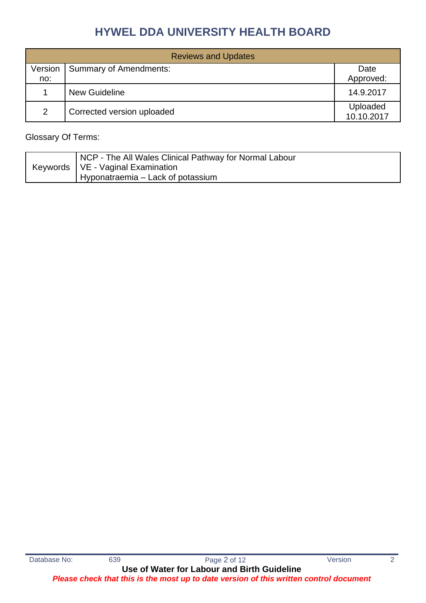| <b>Reviews and Updates</b> |                               |                        |  |
|----------------------------|-------------------------------|------------------------|--|
| Version                    | <b>Summary of Amendments:</b> | Date                   |  |
| no:                        |                               | Approved:              |  |
|                            | <b>New Guideline</b>          | 14.9.2017              |  |
| 2                          | Corrected version uploaded    | Uploaded<br>10.10.2017 |  |

### Glossary Of Terms:

|  | NCP - The All Wales Clinical Pathway for Normal Labour |
|--|--------------------------------------------------------|
|  | Keywords   VE - Vaginal Examination                    |
|  | Hyponatraemia – Lack of potassium                      |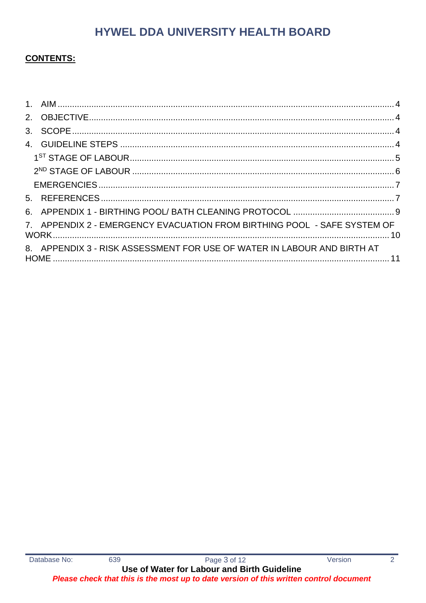### **CONTENTS:**

| 7. APPENDIX 2 - EMERGENCY EVACUATION FROM BIRTHING POOL - SAFE SYSTEM OF |  |
|--------------------------------------------------------------------------|--|
| 8. APPENDIX 3 - RISK ASSESSMENT FOR USE OF WATER IN LABOUR AND BIRTH AT  |  |
|                                                                          |  |

 $\overline{2}$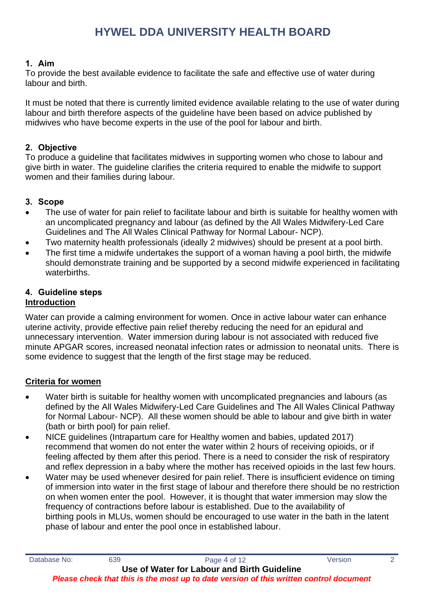#### <span id="page-3-0"></span>**1. Aim**

To provide the best available evidence to facilitate the safe and effective use of water during labour and birth.

It must be noted that there is currently limited evidence available relating to the use of water during labour and birth therefore aspects of the guideline have been based on advice published by midwives who have become experts in the use of the pool for labour and birth.

#### <span id="page-3-1"></span>**2. Objective**

To produce a guideline that facilitates midwives in supporting women who chose to labour and give birth in water. The guideline clarifies the criteria required to enable the midwife to support women and their families during labour.

#### <span id="page-3-2"></span>**3. Scope**

- The use of water for pain relief to facilitate labour and birth is suitable for healthy women with an uncomplicated pregnancy and labour (as defined by the All Wales Midwifery-Led Care Guidelines and The All Wales Clinical Pathway for Normal Labour- NCP).
- Two maternity health professionals (ideally 2 midwives) should be present at a pool birth.
- The first time a midwife undertakes the support of a woman having a pool birth, the midwife should demonstrate training and be supported by a second midwife experienced in facilitating waterbirths.

### <span id="page-3-3"></span>**4. Guideline steps**

#### **Introduction**

Water can provide a calming environment for women. Once in active labour water can enhance uterine activity, provide effective pain relief thereby reducing the need for an epidural and unnecessary intervention. Water immersion during labour is not associated with reduced five minute APGAR scores, increased neonatal infection rates or admission to neonatal units. There is some evidence to suggest that the length of the first stage may be reduced.

### **Criteria for women**

- Water birth is suitable for healthy women with uncomplicated pregnancies and labours (as defined by the All Wales Midwifery-Led Care Guidelines and The All Wales Clinical Pathway for Normal Labour- NCP). All these women should be able to labour and give birth in water (bath or birth pool) for pain relief.
- NICE guidelines (Intrapartum care for Healthy women and babies, updated 2017) recommend that women do not enter the water within 2 hours of receiving opioids, or if feeling affected by them after this period. There is a need to consider the risk of respiratory and reflex depression in a baby where the mother has received opioids in the last few hours.
- Water may be used whenever desired for pain relief. There is insufficient evidence on timing of immersion into water in the first stage of labour and therefore there should be no restriction on when women enter the pool. However, it is thought that water immersion may slow the frequency of contractions before labour is established. Due to the availability of birthing pools in MLUs, women should be encouraged to use water in the bath in the latent phase of labour and enter the pool once in established labour.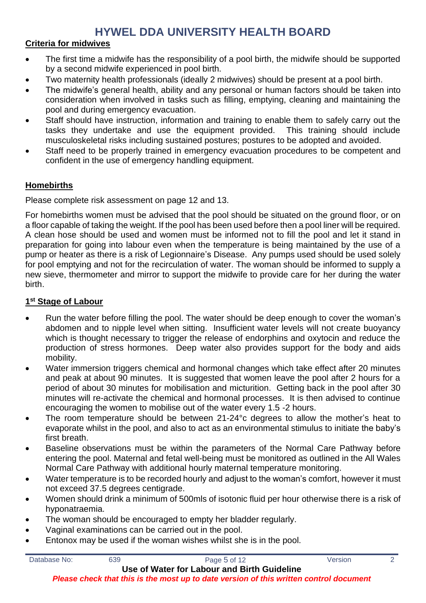### **Criteria for midwives**

- The first time a midwife has the responsibility of a pool birth, the midwife should be supported by a second midwife experienced in pool birth.
- Two maternity health professionals (ideally 2 midwives) should be present at a pool birth.
- The midwife's general health, ability and any personal or human factors should be taken into consideration when involved in tasks such as filling, emptying, cleaning and maintaining the pool and during emergency evacuation.
- Staff should have instruction, information and training to enable them to safely carry out the tasks they undertake and use the equipment provided. This training should include musculoskeletal risks including sustained postures; postures to be adopted and avoided.
- Staff need to be properly trained in emergency evacuation procedures to be competent and confident in the use of emergency handling equipment.

### **Homebirths**

Please complete risk assessment on page 12 and 13.

For homebirths women must be advised that the pool should be situated on the ground floor, or on a floor capable of taking the weight. If the pool has been used before then a pool liner will be required. A clean hose should be used and women must be informed not to fill the pool and let it stand in preparation for going into labour even when the temperature is being maintained by the use of a pump or heater as there is a risk of Legionnaire's Disease. Any pumps used should be used solely for pool emptying and not for the recirculation of water. The woman should be informed to supply a new sieve, thermometer and mirror to support the midwife to provide care for her during the water birth.

#### <span id="page-4-0"></span>**1 st Stage of Labour**

- Run the water before filling the pool. The water should be deep enough to cover the woman's abdomen and to nipple level when sitting. Insufficient water levels will not create buoyancy which is thought necessary to trigger the release of endorphins and oxytocin and reduce the production of stress hormones. Deep water also provides support for the body and aids mobility.
- Water immersion triggers chemical and hormonal changes which take effect after 20 minutes and peak at about 90 minutes. It is suggested that women leave the pool after 2 hours for a period of about 30 minutes for mobilisation and micturition. Getting back in the pool after 30 minutes will re-activate the chemical and hormonal processes. It is then advised to continue encouraging the women to mobilise out of the water every 1.5 -2 hours.
- The room temperature should be between 21-24°c degrees to allow the mother's heat to evaporate whilst in the pool, and also to act as an environmental stimulus to initiate the baby's first breath.
- Baseline observations must be within the parameters of the Normal Care Pathway before entering the pool. Maternal and fetal well-being must be monitored as outlined in the All Wales Normal Care Pathway with additional hourly maternal temperature monitoring.
- Water temperature is to be recorded hourly and adjust to the woman's comfort, however it must not exceed 37.5 degrees centigrade.
- Women should drink a minimum of 500mls of isotonic fluid per hour otherwise there is a risk of hyponatraemia.
- The woman should be encouraged to empty her bladder regularly.
- Vaginal examinations can be carried out in the pool.
- Entonox may be used if the woman wishes whilst she is in the pool.

| Database No: | 639 | Page 5 of 12                                 | Version |  |
|--------------|-----|----------------------------------------------|---------|--|
|              |     | Lleo of Wator for Labour and Rirth Guidolino |         |  |

**Use of Water for Labour and Birth Guideline**

*Please check that this is the most up to date version of this written control document*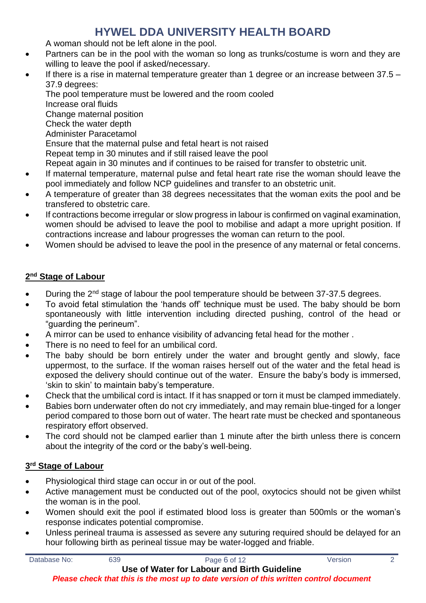A woman should not be left alone in the pool.

- Partners can be in the pool with the woman so long as trunks/costume is worn and they are willing to leave the pool if asked/necessary.
- If there is a rise in maternal temperature greater than 1 degree or an increase between  $37.5 -$ 37.9 degrees:

The pool temperature must be lowered and the room cooled Increase oral fluids Change maternal position Check the water depth Administer Paracetamol Ensure that the maternal pulse and fetal heart is not raised Repeat temp in 30 minutes and if still raised leave the pool Repeat again in 30 minutes and if continues to be raised for transfer to obstetric unit.

- If maternal temperature, maternal pulse and fetal heart rate rise the woman should leave the pool immediately and follow NCP guidelines and transfer to an obstetric unit.
- A temperature of greater than 38 degrees necessitates that the woman exits the pool and be transfered to obstetric care.
- If contractions become irregular or slow progress in labour is confirmed on vaginal examination, women should be advised to leave the pool to mobilise and adapt a more upright position. If contractions increase and labour progresses the woman can return to the pool.
- Women should be advised to leave the pool in the presence of any maternal or fetal concerns.

### <span id="page-5-0"></span>**2 nd Stage of Labour**

- During the 2<sup>nd</sup> stage of labour the pool temperature should be between 37-37.5 degrees.
- To avoid fetal stimulation the 'hands off' technique must be used. The baby should be born spontaneously with little intervention including directed pushing, control of the head or "guarding the perineum".
- A mirror can be used to enhance visibility of advancing fetal head for the mother .
- There is no need to feel for an umbilical cord.
- The baby should be born entirely under the water and brought gently and slowly, face uppermost, to the surface. If the woman raises herself out of the water and the fetal head is exposed the delivery should continue out of the water. Ensure the baby's body is immersed, 'skin to skin' to maintain baby's temperature.
- Check that the umbilical cord is intact. If it has snapped or torn it must be clamped immediately.
- Babies born underwater often do not cry immediately, and may remain blue-tinged for a longer period compared to those born out of water. The heart rate must be checked and spontaneous respiratory effort observed.
- The cord should not be clamped earlier than 1 minute after the birth unless there is concern about the integrity of the cord or the baby's well-being.

### **3 rd Stage of Labour**

- Physiological third stage can occur in or out of the pool.
- Active management must be conducted out of the pool, oxytocics should not be given whilst the woman is in the pool.
- Women should exit the pool if estimated blood loss is greater than 500mls or the woman's response indicates potential compromise.
- Unless perineal trauma is assessed as severe any suturing required should be delayed for an hour following birth as perineal tissue may be water-logged and friable.

Database No: 639 639 Page 6 of 12 Version 2

**Use of Water for Labour and Birth Guideline** *Please check that this is the most up to date version of this written control document*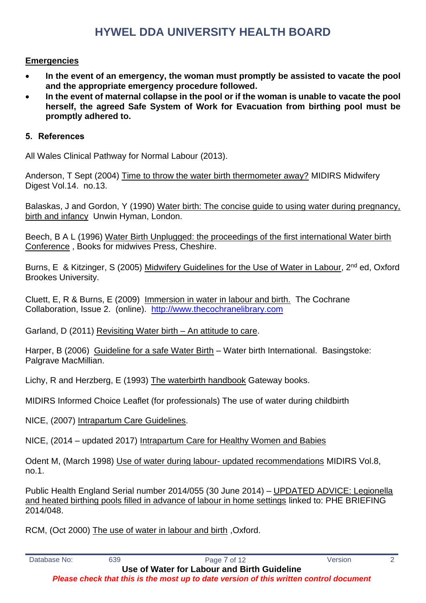#### <span id="page-6-0"></span>**Emergencies**

- **In the event of an emergency, the woman must promptly be assisted to vacate the pool and the appropriate emergency procedure followed.**
- **In the event of maternal collapse in the pool or if the woman is unable to vacate the pool herself, the agreed Safe System of Work for Evacuation from birthing pool must be promptly adhered to.**

#### <span id="page-6-1"></span>**5. References**

All Wales Clinical Pathway for Normal Labour (2013).

Anderson, T Sept (2004) Time to throw the water birth thermometer away? MIDIRS Midwifery Digest Vol.14. no.13.

Balaskas, J and Gordon, Y (1990) Water birth: The concise guide to using water during pregnancy, birth and infancy Unwin Hyman, London.

Beech, B A L (1996) Water Birth Unplugged: the proceedings of the first international Water birth Conference , Books for midwives Press, Cheshire.

Burns, E & Kitzinger, S (2005) Midwifery Guidelines for the Use of Water in Labour, 2<sup>nd</sup> ed, Oxford Brookes University.

Cluett, E, R & Burns, E (2009) Immersion in water in labour and birth. The Cochrane Collaboration, Issue 2. (online). [http://www.thecochranelibrary.com](http://www.thecochranelibrary.com/)

Garland, D (2011) Revisiting Water birth – An attitude to care.

Harper, B (2006) Guideline for a safe Water Birth – Water birth International. Basingstoke: Palgrave MacMillian.

Lichy, R and Herzberg, E (1993) The waterbirth handbook Gateway books.

MIDIRS Informed Choice Leaflet (for professionals) The use of water during childbirth

NICE, (2007) Intrapartum Care Guidelines.

NICE, (2014 – updated 2017) Intrapartum Care for Healthy Women and Babies

Odent M, (March 1998) Use of water during labour- updated recommendations MIDIRS Vol.8, no.1.

Public Health England Serial number 2014/055 (30 June 2014) – UPDATED ADVICE: Legionella and heated birthing pools filled in advance of labour in home settings linked to: PHE BRIEFING 2014/048.

RCM, (Oct 2000) The use of water in labour and birth ,Oxford.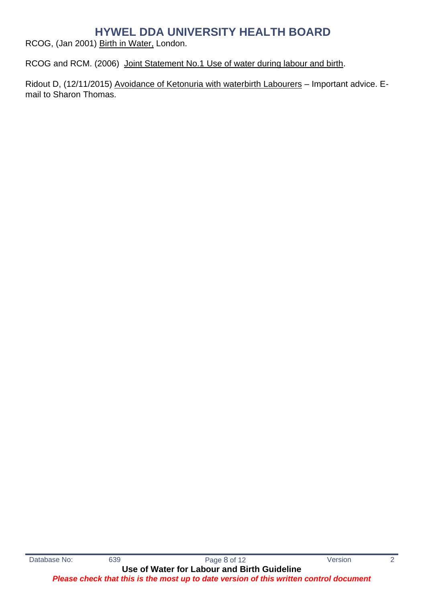RCOG, (Jan 2001) Birth in Water, London.

RCOG and RCM. (2006) Joint Statement No.1 Use of water during labour and birth.

Ridout D, (12/11/2015) Avoidance of Ketonuria with waterbirth Labourers – Important advice. Email to Sharon Thomas.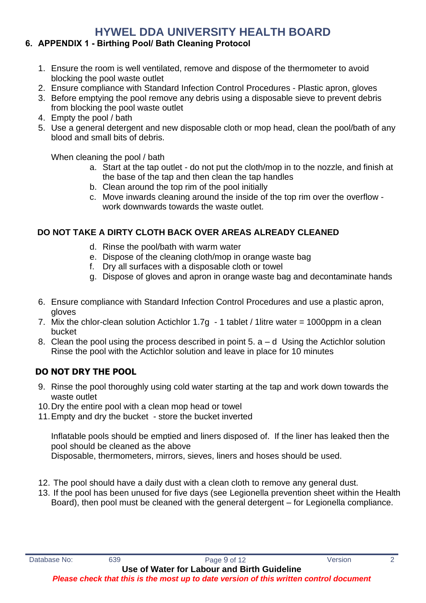### <span id="page-8-0"></span>**6. APPENDIX 1 - Birthing Pool/ Bath Cleaning Protocol**

- 1. Ensure the room is well ventilated, remove and dispose of the thermometer to avoid blocking the pool waste outlet
- 2. Ensure compliance with Standard Infection Control Procedures Plastic apron, gloves
- 3. Before emptying the pool remove any debris using a disposable sieve to prevent debris from blocking the pool waste outlet
- 4. Empty the pool / bath
- 5. Use a general detergent and new disposable cloth or mop head, clean the pool/bath of any blood and small bits of debris.

When cleaning the pool / bath

- a. Start at the tap outlet do not put the cloth/mop in to the nozzle, and finish at the base of the tap and then clean the tap handles
- b. Clean around the top rim of the pool initially
- c. Move inwards cleaning around the inside of the top rim over the overflow work downwards towards the waste outlet.

### **DO NOT TAKE A DIRTY CLOTH BACK OVER AREAS ALREADY CLEANED**

- d. Rinse the pool/bath with warm water
- e. Dispose of the cleaning cloth/mop in orange waste bag
- f. Dry all surfaces with a disposable cloth or towel
- g. Dispose of gloves and apron in orange waste bag and decontaminate hands
- 6. Ensure compliance with Standard Infection Control Procedures and use a plastic apron, gloves
- 7. Mix the chlor-clean solution Actichlor  $1.7g 1$  tablet / 1 litre water = 1000ppm in a clean bucket
- 8. Clean the pool using the process described in point  $5. a d$  Using the Actichlor solution Rinse the pool with the Actichlor solution and leave in place for 10 minutes

## **DO NOT DRY THE POOL**

- 9. Rinse the pool thoroughly using cold water starting at the tap and work down towards the waste outlet
- 10.Dry the entire pool with a clean mop head or towel
- 11.Empty and dry the bucket store the bucket inverted

Inflatable pools should be emptied and liners disposed of. If the liner has leaked then the pool should be cleaned as the above Disposable, thermometers, mirrors, sieves, liners and hoses should be used.

- 12. The pool should have a daily dust with a clean cloth to remove any general dust.
- 13. If the pool has been unused for five days (see Legionella prevention sheet within the Health Board), then pool must be cleaned with the general detergent – for Legionella compliance.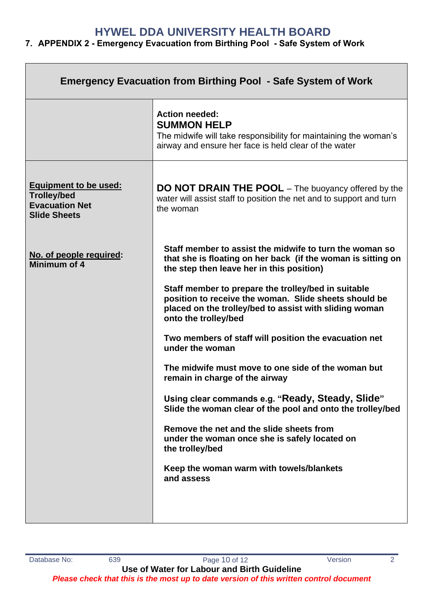### <span id="page-9-0"></span>**7. APPENDIX 2 - Emergency Evacuation from Birthing Pool - Safe System of Work**

| <b>Emergency Evacuation from Birthing Pool - Safe System of Work</b>                               |                                                                                                                                                                                                |  |  |
|----------------------------------------------------------------------------------------------------|------------------------------------------------------------------------------------------------------------------------------------------------------------------------------------------------|--|--|
|                                                                                                    | <b>Action needed:</b><br><b>SUMMON HELP</b><br>The midwife will take responsibility for maintaining the woman's<br>airway and ensure her face is held clear of the water                       |  |  |
| <b>Equipment to be used:</b><br><b>Trolley/bed</b><br><b>Evacuation Net</b><br><b>Slide Sheets</b> | <b>DO NOT DRAIN THE POOL</b> – The buoyancy offered by the<br>water will assist staff to position the net and to support and turn<br>the woman                                                 |  |  |
| No. of people required:<br>Minimum of 4                                                            | Staff member to assist the midwife to turn the woman so<br>that she is floating on her back (if the woman is sitting on<br>the step then leave her in this position)                           |  |  |
|                                                                                                    | Staff member to prepare the trolley/bed in suitable<br>position to receive the woman. Slide sheets should be<br>placed on the trolley/bed to assist with sliding woman<br>onto the trolley/bed |  |  |
|                                                                                                    | Two members of staff will position the evacuation net<br>under the woman                                                                                                                       |  |  |
|                                                                                                    | The midwife must move to one side of the woman but<br>remain in charge of the airway                                                                                                           |  |  |
|                                                                                                    | Using clear commands e.g. "Ready, Steady, Slide"<br>Slide the woman clear of the pool and onto the trolley/bed                                                                                 |  |  |
|                                                                                                    | Remove the net and the slide sheets from<br>under the woman once she is safely located on<br>the trolley/bed                                                                                   |  |  |
|                                                                                                    | Keep the woman warm with towels/blankets<br>and assess                                                                                                                                         |  |  |
|                                                                                                    |                                                                                                                                                                                                |  |  |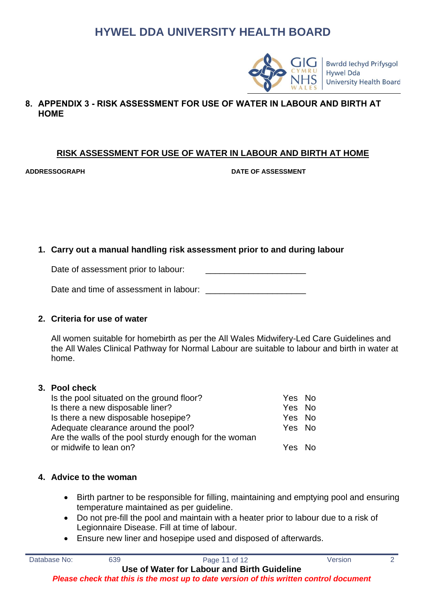

<span id="page-10-0"></span>**8. APPENDIX 3 - RISK ASSESSMENT FOR USE OF WATER IN LABOUR AND BIRTH AT HOME**

#### **RISK ASSESSMENT FOR USE OF WATER IN LABOUR AND BIRTH AT HOME**

**ADDRESSOGRAPH DATE OF ASSESSMENT**

#### **1. Carry out a manual handling risk assessment prior to and during labour**

Date of assessment prior to labour:

| Date and time of assessment in labour: |  |
|----------------------------------------|--|
|                                        |  |

#### **2. Criteria for use of water**

All women suitable for homebirth as per the All Wales Midwifery-Led Care Guidelines and the All Wales Clinical Pathway for Normal Labour are suitable to labour and birth in water at home.

#### **3. Pool check**

| Is the pool situated on the ground floor?             | Yes No |  |
|-------------------------------------------------------|--------|--|
| Is there a new disposable liner?                      | Yes No |  |
| Is there a new disposable hosepipe?                   | Yes No |  |
| Adequate clearance around the pool?                   | Yes No |  |
| Are the walls of the pool sturdy enough for the woman |        |  |
| or midwife to lean on?                                | Yes No |  |
|                                                       |        |  |

#### **4. Advice to the woman**

- Birth partner to be responsible for filling, maintaining and emptying pool and ensuring temperature maintained as per guideline.
- Do not pre-fill the pool and maintain with a heater prior to labour due to a risk of Legionnaire Disease. Fill at time of labour.
- Ensure new liner and hosepipe used and disposed of afterwards.